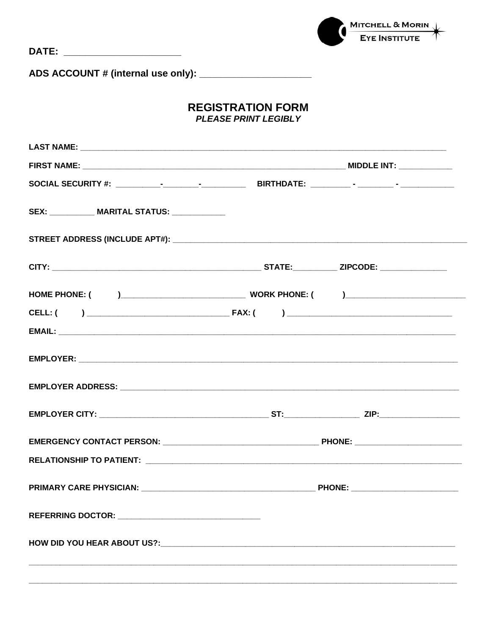

## **REGISTRATION FORM PLEASE PRINT LEGIBLY**

| SEX: ____________ MARITAL STATUS: ____________ |  |
|------------------------------------------------|--|
|                                                |  |
|                                                |  |
|                                                |  |
|                                                |  |
|                                                |  |
|                                                |  |
|                                                |  |
|                                                |  |
|                                                |  |
|                                                |  |
|                                                |  |
|                                                |  |
|                                                |  |
|                                                |  |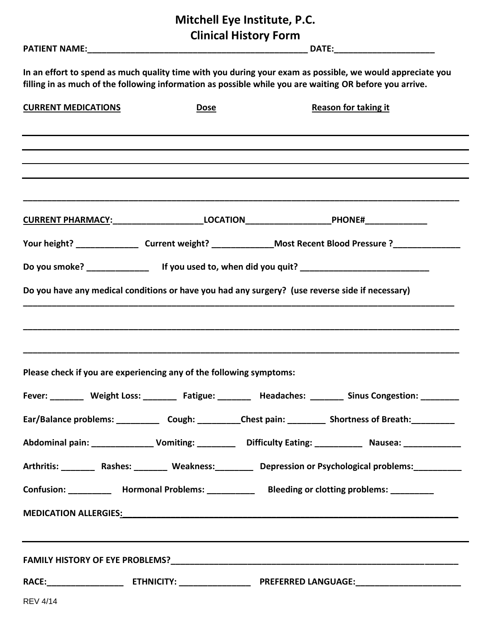**Mitchell Eye Institute, P.C. Clinical History Form**

| In an effort to spend as much quality time with you during your exam as possible, we would appreciate you<br>filling in as much of the following information as possible while you are waiting OR before you arrive. |             |                   |                                                                                                                                                                                                                                |  |
|----------------------------------------------------------------------------------------------------------------------------------------------------------------------------------------------------------------------|-------------|-------------------|--------------------------------------------------------------------------------------------------------------------------------------------------------------------------------------------------------------------------------|--|
| <b>CURRENT MEDICATIONS</b>                                                                                                                                                                                           | <b>Dose</b> |                   | <b>Reason for taking it</b>                                                                                                                                                                                                    |  |
|                                                                                                                                                                                                                      |             |                   |                                                                                                                                                                                                                                |  |
|                                                                                                                                                                                                                      |             |                   |                                                                                                                                                                                                                                |  |
| <u>CURRENT PHARMACY: ______________________LOCATION________________________PHONE#_______________</u>                                                                                                                 |             |                   |                                                                                                                                                                                                                                |  |
|                                                                                                                                                                                                                      |             |                   | Your height? ___________________Current weight? _______________Most Recent Blood Pressure ?_______________                                                                                                                     |  |
|                                                                                                                                                                                                                      |             |                   |                                                                                                                                                                                                                                |  |
| Do you have any medical conditions or have you had any surgery? (use reverse side if necessary)                                                                                                                      |             |                   |                                                                                                                                                                                                                                |  |
| Please check if you are experiencing any of the following symptoms:                                                                                                                                                  |             |                   |                                                                                                                                                                                                                                |  |
| <b>Weight Loss:</b><br>Fever:                                                                                                                                                                                        | Fatigue:    | <b>Headaches:</b> | <b>Sinus Congestion:</b>                                                                                                                                                                                                       |  |
|                                                                                                                                                                                                                      |             |                   | Ear/Balance problems: ______________ Cough: __________Chest pain: ___________ Shortness of Breath: __________                                                                                                                  |  |
|                                                                                                                                                                                                                      |             |                   |                                                                                                                                                                                                                                |  |
|                                                                                                                                                                                                                      |             |                   | Arthritis: _________ Rashes: ________ Weakness: _________ Depression or Psychological problems: __________                                                                                                                     |  |
| Confusion: _____________ Hormonal Problems: ______________ Bleeding or clotting problems: _________                                                                                                                  |             |                   |                                                                                                                                                                                                                                |  |
|                                                                                                                                                                                                                      |             |                   | MEDICATION ALLERGIES: New York State State State State State State State State State State State State State State State State State State State State State State State State State State State State State State State State |  |
|                                                                                                                                                                                                                      |             |                   | ,我们也不会有什么。""我们的人,我们也不会有什么?""我们的人,我们也不会有什么?""我们的人,我们也不会有什么?""我们的人,我们也不会有什么?""我们的人                                                                                                                                               |  |
|                                                                                                                                                                                                                      |             |                   |                                                                                                                                                                                                                                |  |
| <b>REV 4/14</b>                                                                                                                                                                                                      |             |                   |                                                                                                                                                                                                                                |  |